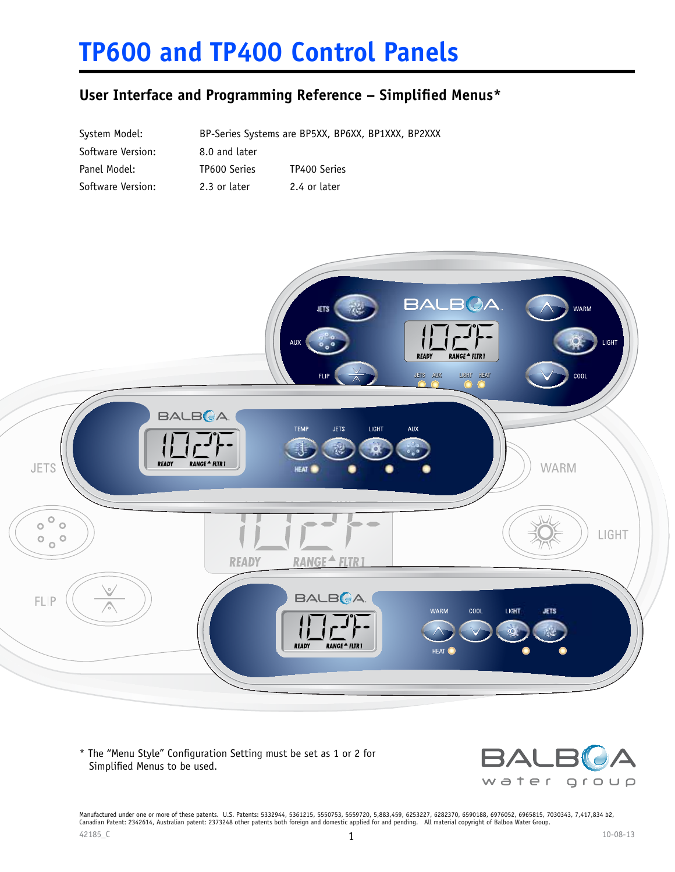# **TP600 and TP400 Control Panels**

### **User Interface and Programming Reference – Simplified Menus\***

| System Model:     |               | BP-Series Systems are BP5XX, BP6XX, BP1XXX, BP2XXX |
|-------------------|---------------|----------------------------------------------------|
| Software Version: | 8.0 and later |                                                    |
| Panel Model:      | TP600 Series  | TP400 Series                                       |
| Software Version: | 2.3 or later  | 2.4 or later                                       |



\* The "Menu Style" Configuration Setting must be set as 1 or 2 for Simplified Menus to be used.



 $42185\_C$  10-08-13 Manufactured under one or more of these patents. U.S. Patents: 5332944, 5361215, 5550753, 5559720, 5,883,459, 6253227, 6282370, 6590188, 6976052, 6965815, 7030343, 7,417,834 b2,<br>Canadian Patent: 2342614, Australian patent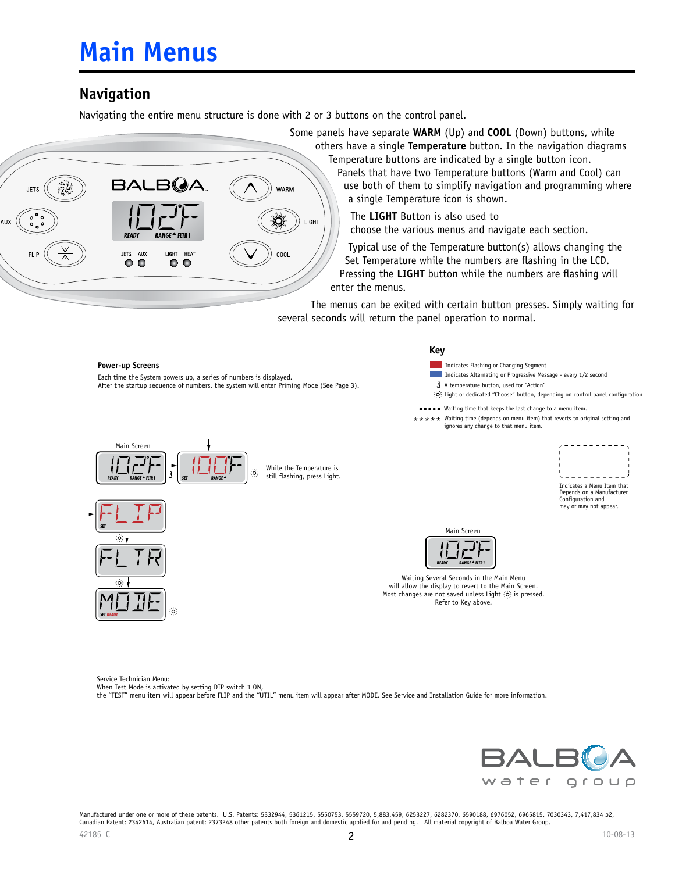# **Main Menus**

### **Navigation**

Navigating the entire menu structure is done with 2 or 3 buttons on the control panel.



Some panels have separate **WARM** (Up) and **COOL** (Down) buttons, while others have a single **Temperature** button. In the navigation diagrams Temperature buttons are indicated by a single button icon.

Panels that have two Temperature buttons (Warm and Cool) can use both of them to simplify navigation and programming where a single Temperature icon is shown.

The **LIGHT** Button is also used to choose the various menus and navigate each section.

Typical use of the Temperature button(s) allows changing the Set Temperature while the numbers are flashing in the LCD. Pressing the **LIGHT** button while the numbers are flashing will enter the menus.

The menus can be exited with certain button presses. Simply waiting for several seconds will return the panel operation to normal.



Service Technician Menu:

When Test Mode is activated by setting DIP switch 1 ON,

the "TEST" menu item will appear before FLIP and the "UTIL" menu item will appear after MODE. See Service and Installation Guide for more information.

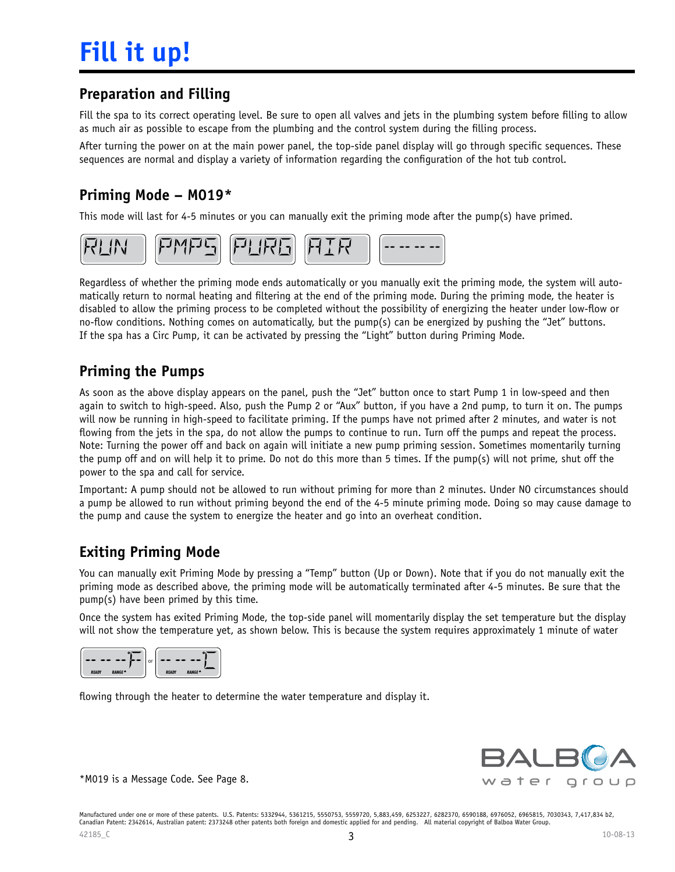### **Preparation and Filling**

Fill the spa to its correct operating level. Be sure to open all valves and jets in the plumbing system before filling to allow as much air as possible to escape from the plumbing and the control system during the filling process.

After turning the power on at the main power panel, the top-side panel display will go through specific sequences. These sequences are normal and display a variety of information regarding the configuration of the hot tub control.

### **Priming Mode – M019\***

This mode will last for 4-5 minutes or you can manually exit the priming mode after the pump(s) have primed.



Regardless of whether the priming mode ends automatically or you manually exit the priming mode, the system will automatically return to normal heating and filtering at the end of the priming mode. During the priming mode, the heater is disabled to allow the priming process to be completed without the possibility of energizing the heater under low-flow or no-flow conditions. Nothing comes on automatically, but the pump(s) can be energized by pushing the "Jet" buttons. If the spa has a Circ Pump, it can be activated by pressing the "Light" button during Priming Mode.

### **Priming the Pumps**

As soon as the above display appears on the panel, push the "Jet" button once to start Pump 1 in low-speed and then again to switch to high-speed. Also, push the Pump 2 or "Aux" button, if you have a 2nd pump, to turn it on. The pumps will now be running in high-speed to facilitate priming. If the pumps have not primed after 2 minutes, and water is not flowing from the jets in the spa, do not allow the pumps to continue to run. Turn off the pumps and repeat the process. Note: Turning the power off and back on again will initiate a new pump priming session. Sometimes momentarily turning the pump off and on will help it to prime. Do not do this more than 5 times. If the pump(s) will not prime, shut off the power to the spa and call for service.

Important: A pump should not be allowed to run without priming for more than 2 minutes. Under NO circumstances should a pump be allowed to run without priming beyond the end of the 4-5 minute priming mode. Doing so may cause damage to the pump and cause the system to energize the heater and go into an overheat condition.

### **Exiting Priming Mode**

You can manually exit Priming Mode by pressing a "Temp" button (Up or Down). Note that if you do not manually exit the priming mode as described above, the priming mode will be automatically terminated after 4-5 minutes. Be sure that the pump(s) have been primed by this time.

Once the system has exited Priming Mode, the top-side panel will momentarily display the set temperature but the display will not show the temperature yet, as shown below. This is because the system requires approximately 1 minute of water



flowing through the heater to determine the water temperature and display it.



\*M019 is a Message Code. See Page 8.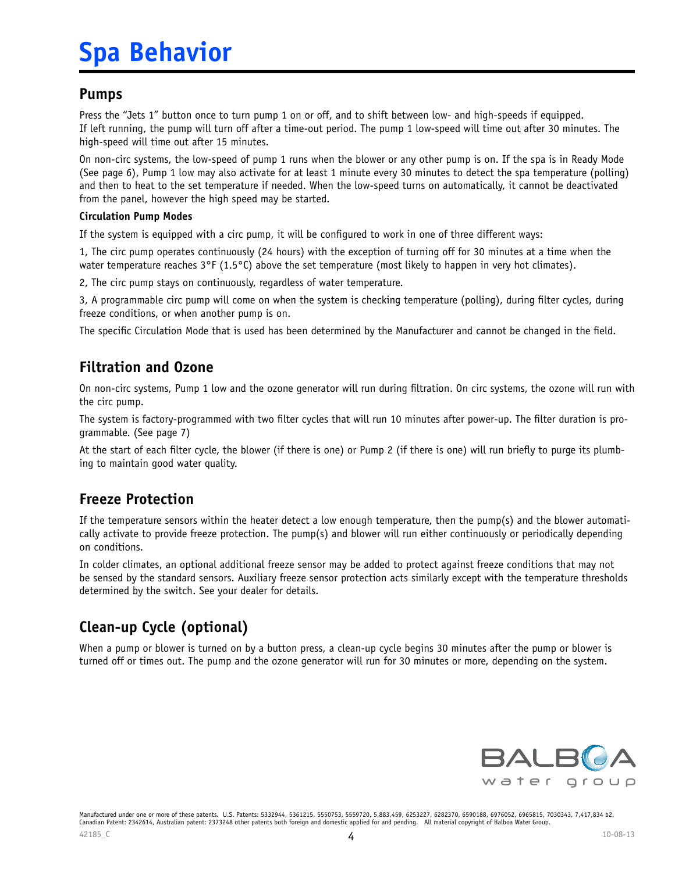# **Spa Behavior**

#### **Pumps**

Press the "Jets 1" button once to turn pump 1 on or off, and to shift between low- and high-speeds if equipped. If left running, the pump will turn off after a time-out period. The pump 1 low-speed will time out after 30 minutes. The high-speed will time out after 15 minutes.

On non-circ systems, the low-speed of pump 1 runs when the blower or any other pump is on. If the spa is in Ready Mode (See page 6), Pump 1 low may also activate for at least 1 minute every 30 minutes to detect the spa temperature (polling) and then to heat to the set temperature if needed. When the low-speed turns on automatically, it cannot be deactivated from the panel, however the high speed may be started.

#### **Circulation Pump Modes**

If the system is equipped with a circ pump, it will be configured to work in one of three different ways:

1, The circ pump operates continuously (24 hours) with the exception of turning off for 30 minutes at a time when the water temperature reaches  $3^{\circ}F(1.5^{\circ}C)$  above the set temperature (most likely to happen in very hot climates).

2, The circ pump stays on continuously, regardless of water temperature.

3, A programmable circ pump will come on when the system is checking temperature (polling), during filter cycles, during freeze conditions, or when another pump is on.

The specific Circulation Mode that is used has been determined by the Manufacturer and cannot be changed in the field.

### **Filtration and Ozone**

On non-circ systems, Pump 1 low and the ozone generator will run during filtration. On circ systems, the ozone will run with the circ pump.

The system is factory-programmed with two filter cycles that will run 10 minutes after power-up. The filter duration is programmable. (See page 7)

At the start of each filter cycle, the blower (if there is one) or Pump 2 (if there is one) will run briefly to purge its plumbing to maintain good water quality.

### **Freeze Protection**

If the temperature sensors within the heater detect a low enough temperature, then the pump(s) and the blower automatically activate to provide freeze protection. The pump(s) and blower will run either continuously or periodically depending on conditions.

In colder climates, an optional additional freeze sensor may be added to protect against freeze conditions that may not be sensed by the standard sensors. Auxiliary freeze sensor protection acts similarly except with the temperature thresholds determined by the switch. See your dealer for details.

## **Clean-up Cycle (optional)**

When a pump or blower is turned on by a button press, a clean-up cycle begins 30 minutes after the pump or blower is turned off or times out. The pump and the ozone generator will run for 30 minutes or more, depending on the system.

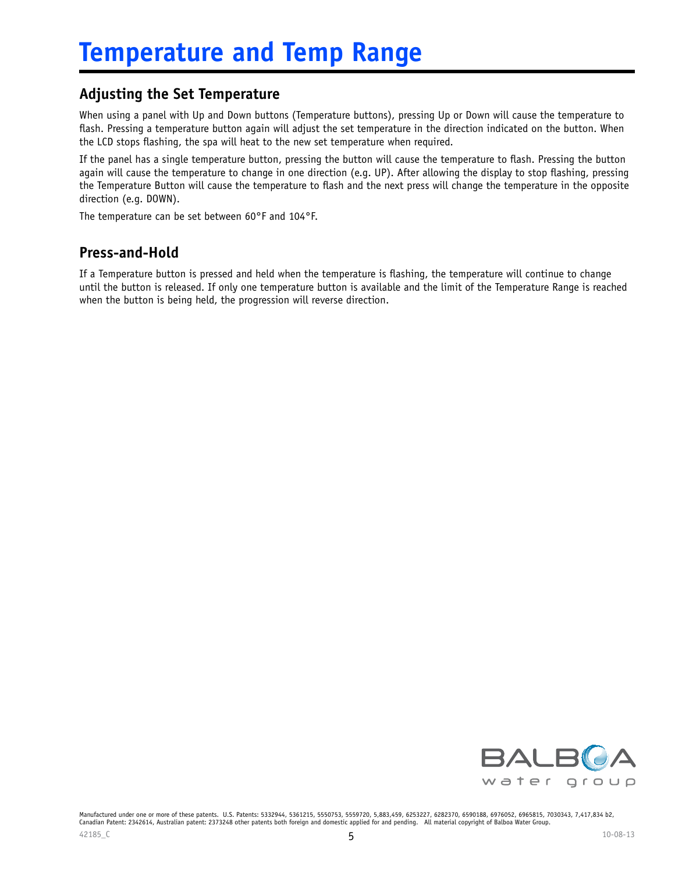### **Adjusting the Set Temperature**

When using a panel with Up and Down buttons (Temperature buttons), pressing Up or Down will cause the temperature to flash. Pressing a temperature button again will adjust the set temperature in the direction indicated on the button. When the LCD stops flashing, the spa will heat to the new set temperature when required.

If the panel has a single temperature button, pressing the button will cause the temperature to flash. Pressing the button again will cause the temperature to change in one direction (e.g. UP). After allowing the display to stop flashing, pressing the Temperature Button will cause the temperature to flash and the next press will change the temperature in the opposite direction (e.g. DOWN).

The temperature can be set between 60°F and 104°F.

### **Press-and-Hold**

If a Temperature button is pressed and held when the temperature is flashing, the temperature will continue to change until the button is released. If only one temperature button is available and the limit of the Temperature Range is reached when the button is being held, the progression will reverse direction.

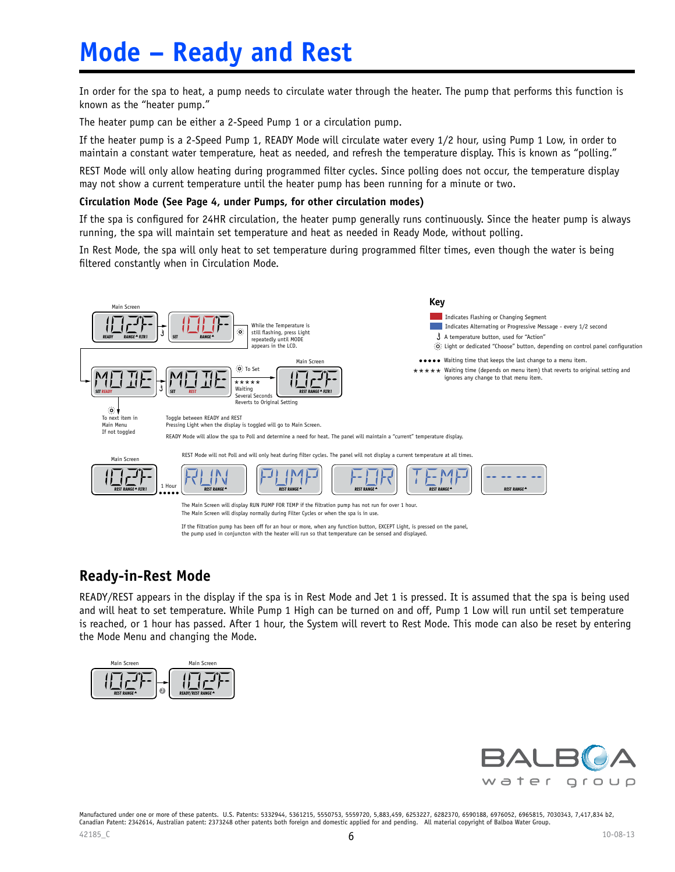# **Mode – Ready and Rest**

In order for the spa to heat, a pump needs to circulate water through the heater. The pump that performs this function is known as the "heater pump."

The heater pump can be either a 2-Speed Pump 1 or a circulation pump.

If the heater pump is a 2-Speed Pump 1, READY Mode will circulate water every 1/2 hour, using Pump 1 Low, in order to maintain a constant water temperature, heat as needed, and refresh the temperature display. This is known as "polling."

REST Mode will only allow heating during programmed filter cycles. Since polling does not occur, the temperature display may not show a current temperature until the heater pump has been running for a minute or two.

#### **Circulation Mode (See Page 4, under Pumps, for other circulation modes)**

If the spa is configured for 24HR circulation, the heater pump generally runs continuously. Since the heater pump is always running, the spa will maintain set temperature and heat as needed in Ready Mode, without polling.

In Rest Mode, the spa will only heat to set temperature during programmed filter times, even though the water is being filtered constantly when in Circulation Mode.



#### **Ready-in-Rest Mode**

READY/REST appears in the display if the spa is in Rest Mode and Jet 1 is pressed. It is assumed that the spa is being used and will heat to set temperature. While Pump 1 High can be turned on and off, Pump 1 Low will run until set temperature is reached, or 1 hour has passed. After 1 hour, the System will revert to Rest Mode. This mode can also be reset by entering the Mode Menu and changing the Mode.



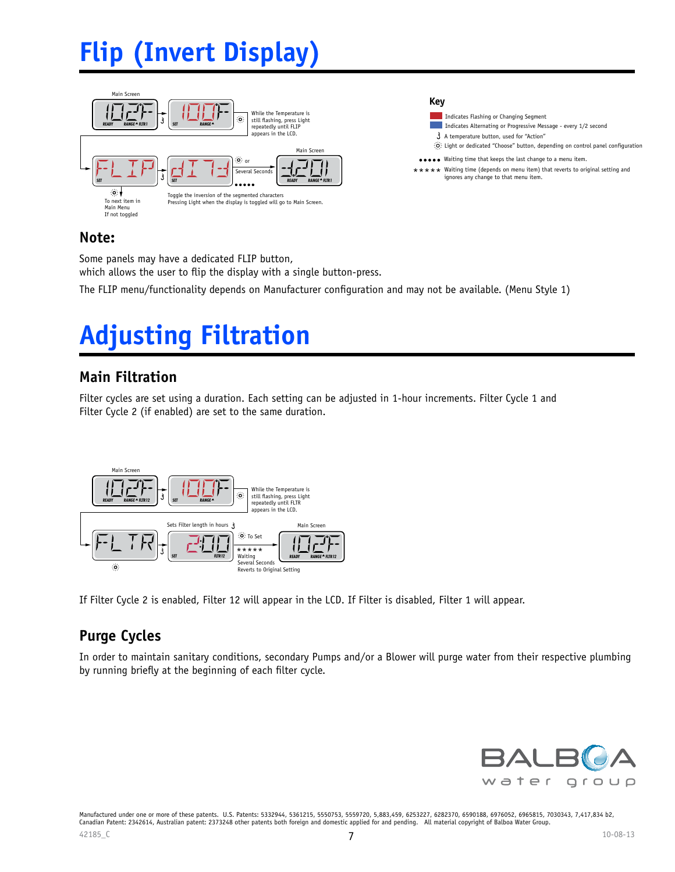# **Flip (Invert Display)**



#### Indicates Flashing or Changing Segment **Key** A temperature button, used for "Action"  $\hat{Q}$ : Light or dedicated "Choose" button, depending on control panel configuration Indicates Alternating or Progressive Message - every 1/2 second Waiting time that keeps the last change to a menu item. \*\*\* Waiting time (depends on menu item) that reverts to original setting and ignores any change to that menu item.

### **Note:**

Some panels may have a dedicated FLIP button, which allows the user to flip the display with a single button-press.

The FLIP menu/functionality depends on Manufacturer configuration and may not be available. (Menu Style 1)

# **Adjusting Filtration**

### **Main Filtration**

Filter cycles are set using a duration. Each setting can be adjusted in 1-hour increments. Filter Cycle 1 and Filter Cycle 2 (if enabled) are set to the same duration.



If Filter Cycle 2 is enabled, Filter 12 will appear in the LCD. If Filter is disabled, Filter 1 will appear.

### **Purge Cycles**

In order to maintain sanitary conditions, secondary Pumps and/or a Blower will purge water from their respective plumbing by running briefly at the beginning of each filter cycle.

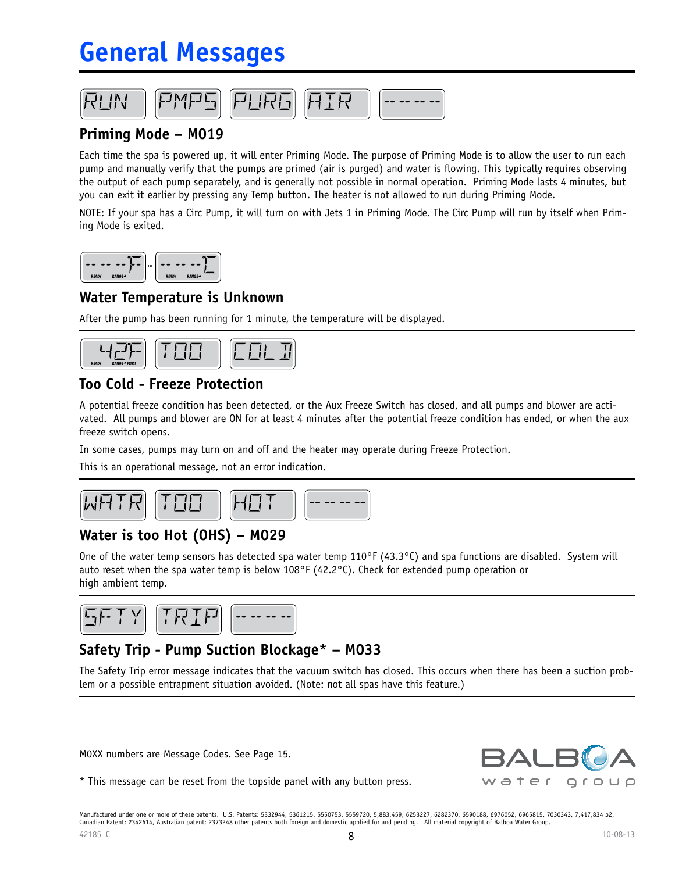# **General Messages**



### **Priming Mode – M019**

Each time the spa is powered up, it will enter Priming Mode. The purpose of Priming Mode is to allow the user to run each pump and manually verify that the pumps are primed (air is purged) and water is flowing. This typically requires observing the output of each pump separately, and is generally not possible in normal operation. Priming Mode lasts 4 minutes, but you can exit it earlier by pressing any Temp button. The heater is not allowed to run during Priming Mode.

NOTE: If your spa has a Circ Pump, it will turn on with Jets 1 in Priming Mode. The Circ Pump will run by itself when Priming Mode is exited.



#### **Water Temperature is Unknown**

After the pump has been running for 1 minute, the temperature will be displayed.



### **Too Cold - Freeze Protection**

A potential freeze condition has been detected, or the Aux Freeze Switch has closed, and all pumps and blower are activated. All pumps and blower are ON for at least 4 minutes after the potential freeze condition has ended, or when the aux freeze switch opens.

In some cases, pumps may turn on and off and the heater may operate during Freeze Protection.

This is an operational message, not an error indication.



### **Water is too Hot (OHS) – M029**

One of the water temp sensors has detected spa water temp  $110^{\circ}F(43.3^{\circ}C)$  and spa functions are disabled. System will auto reset when the spa water temp is below 108°F (42.2°C). Check for extended pump operation or high ambient temp.



### **Safety Trip - Pump Suction Blockage\* – M033**

The Safety Trip error message indicates that the vacuum switch has closed. This occurs when there has been a suction problem or a possible entrapment situation avoided. (Note: not all spas have this feature.)

M0XX numbers are Message Codes. See Page 15.



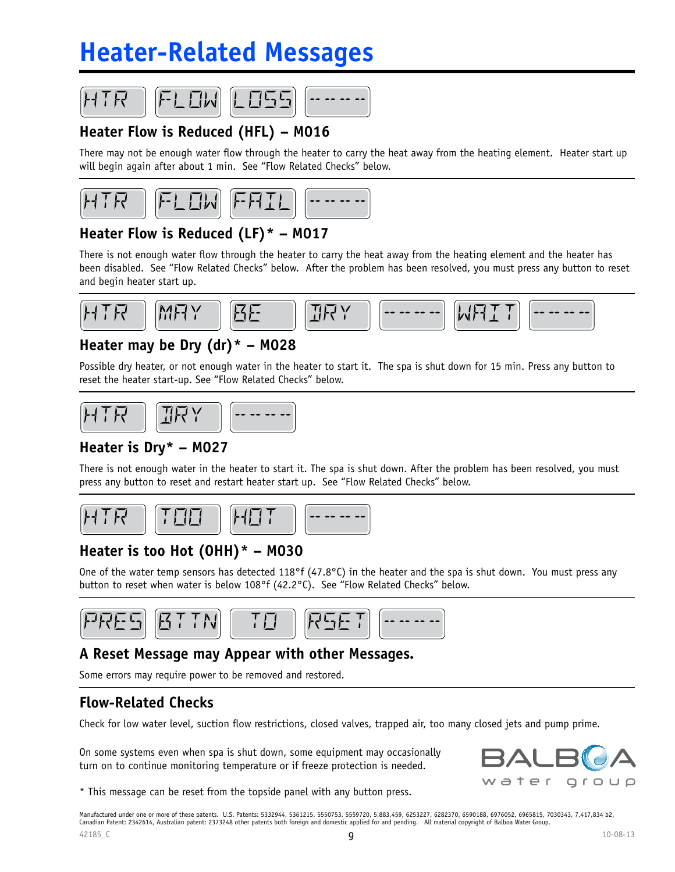# **Heater-Related Messages**







### **Heater Flow is Reduced (HFL) – M016**

There may not be enough water flow through the heater to carry the heat away from the heating element. Heater start up will begin again after about 1 min. See "Flow Related Checks" below.





# **Heater Flow is Reduced (LF)\* – M017**

There is not enough water flow through the heater to carry the heat away from the heating element and the heater has been disabled. See "Flow Related Checks" below. After the problem has been resolved, you must press any button to reset and begin heater start up.



### **Heater may be Dry (dr)\* – M028**

Possible dry heater, or not enough water in the heater to start it. The spa is shut down for 15 min. Press any button to reset the heater start-up. See "Flow Related Checks" below.



### **Heater is Dry\* – M027**

There is not enough water in the heater to start it. The spa is shut down. After the problem has been resolved, you must press any button to reset and restart heater start up. See "Flow Related Checks" below.



## **Heater is too Hot (OHH)\* – M030**

One of the water temp sensors has detected 118 $\textdegree$ f (47.8 $\textdegree$ C) in the heater and the spa is shut down. You must press any button to reset when water is below 108°f (42.2°C). See "Flow Related Checks" below.



### **A Reset Message may Appear with other Messages.**

Some errors may require power to be removed and restored.

### **Flow-Related Checks**

Check for low water level, suction flow restrictions, closed valves, trapped air, too many closed jets and pump prime.

On some systems even when spa is shut down, some equipment may occasionally turn on to continue monitoring temperature or if freeze protection is needed.



\* This message can be reset from the topside panel with any button press.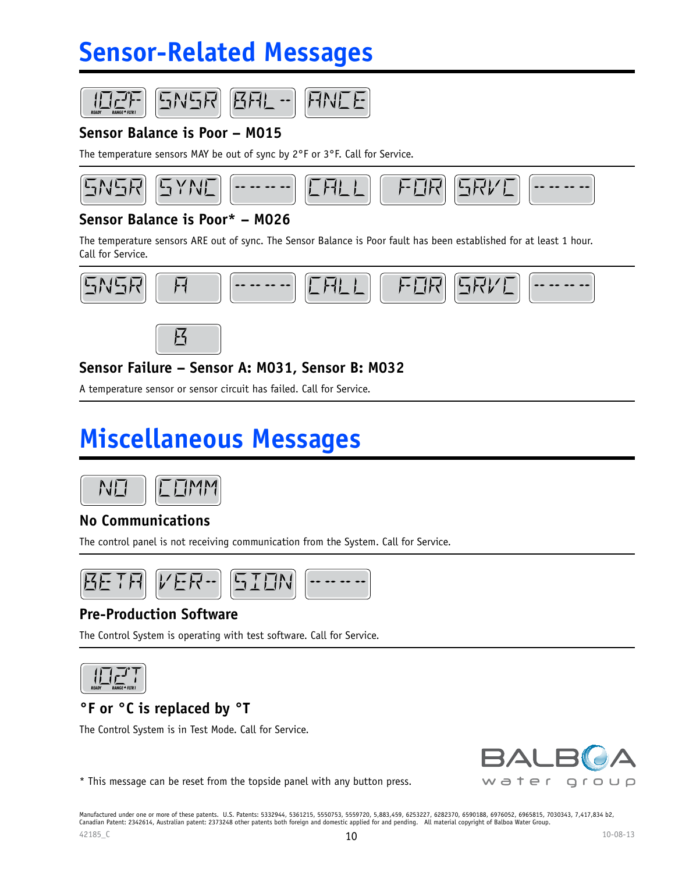# **Sensor-Related Messages**







### **Sensor Balance is Poor – M015**

The temperature sensors MAY be out of sync by 2°F or 3°F. Call for Service.

环日



### **Sensor Balance is Poor\* – M026**

The temperature sensors ARE out of sync. The Sensor Balance is Poor fault has been established for at least 1 hour. Call for Service.





### **Sensor Failure – Sensor A: M031, Sensor B: M032**

A temperature sensor or sensor circuit has failed. Call for Service.

# **Miscellaneous Messages**



### **No Communications**

The control panel is not receiving communication from the System. Call for Service.



### **Pre-Production Software**

The Control System is operating with test software. Call for Service.



### **°F or °C is replaced by °T**

The Control System is in Test Mode. Call for Service.



\* This message can be reset from the topside panel with any button press.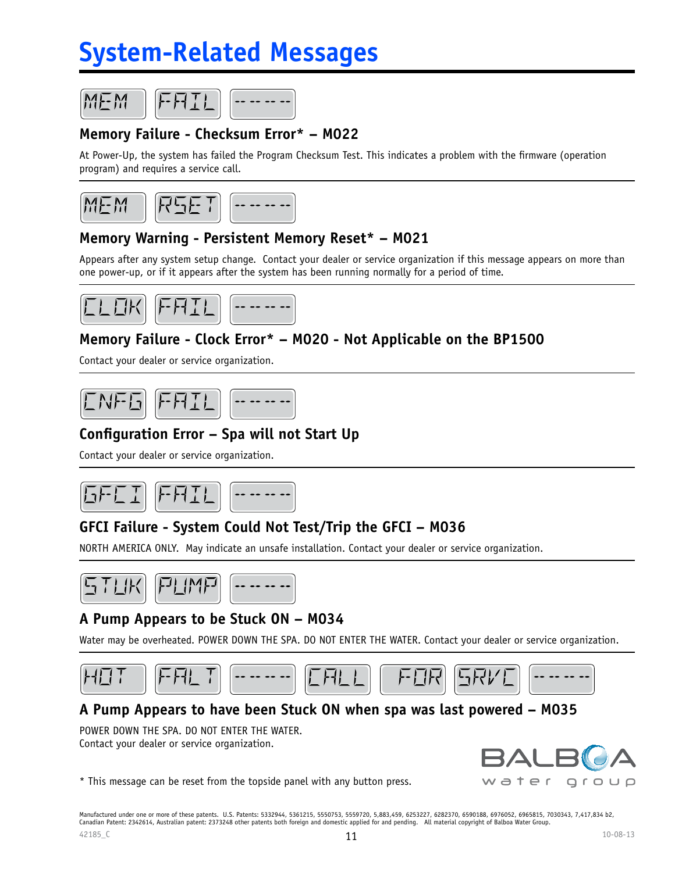# **System-Related Messages**





## **Memory Failure - Checksum Error\* – M022**

At Power-Up, the system has failed the Program Checksum Test. This indicates a problem with the firmware (operation program) and requires a service call.



### **Memory Warning - Persistent Memory Reset\* – M021**

Appears after any system setup change. Contact your dealer or service organization if this message appears on more than one power-up, or if it appears after the system has been running normally for a period of time.



### **Memory Failure - Clock Error\* – M020 - Not Applicable on the BP1500**

Contact your dealer or service organization.



#### **Configuration Error – Spa will not Start Up**

Contact your dealer or service organization.



### **GFCI Failure - System Could Not Test/Trip the GFCI – M036**

NORTH AMERICA ONLY. May indicate an unsafe installation. Contact your dealer or service organization.



### **A Pump Appears to be Stuck ON – M034**

Water may be overheated. POWER DOWN THE SPA. DO NOT ENTER THE WATER. Contact your dealer or service organization.



#### **A Pump Appears to have been Stuck ON when spa was last powered – M035**

POWER DOWN THE SPA. DO NOT ENTER THE WATER. Contact your dealer or service organization.

\* This message can be reset from the topside panel with any button press.

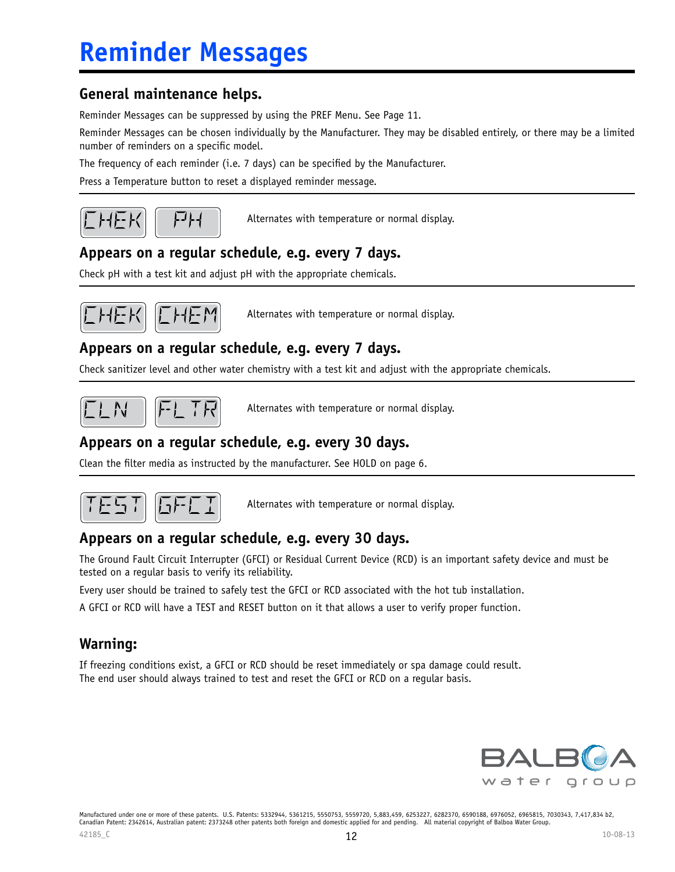### **General maintenance helps.**

Reminder Messages can be suppressed by using the PREF Menu. See Page 11.

Reminder Messages can be chosen individually by the Manufacturer. They may be disabled entirely, or there may be a limited number of reminders on a specific model.

The frequency of each reminder (i.e. 7 days) can be specified by the Manufacturer.

Press a Temperature button to reset a displayed reminder message.



Alternates with temperature or normal display.

### **Appears on a regular schedule, e.g. every 7 days.**

Check pH with a test kit and adjust pH with the appropriate chemicals.



Alternates with temperature or normal display.

### **Appears on a regular schedule, e.g. every 7 days.**

Check sanitizer level and other water chemistry with a test kit and adjust with the appropriate chemicals.



Alternates with temperature or normal display.

### **Appears on a regular schedule, e.g. every 30 days.**

Clean the filter media as instructed by the manufacturer. See HOLD on page 6.



Alternates with temperature or normal display.

#### **Appears on a regular schedule, e.g. every 30 days.**

The Ground Fault Circuit Interrupter (GFCI) or Residual Current Device (RCD) is an important safety device and must be tested on a regular basis to verify its reliability.

Every user should be trained to safely test the GFCI or RCD associated with the hot tub installation.

A GFCI or RCD will have a TEST and RESET button on it that allows a user to verify proper function.

### **Warning:**

If freezing conditions exist, a GFCI or RCD should be reset immediately or spa damage could result. The end user should always trained to test and reset the GFCI or RCD on a regular basis.

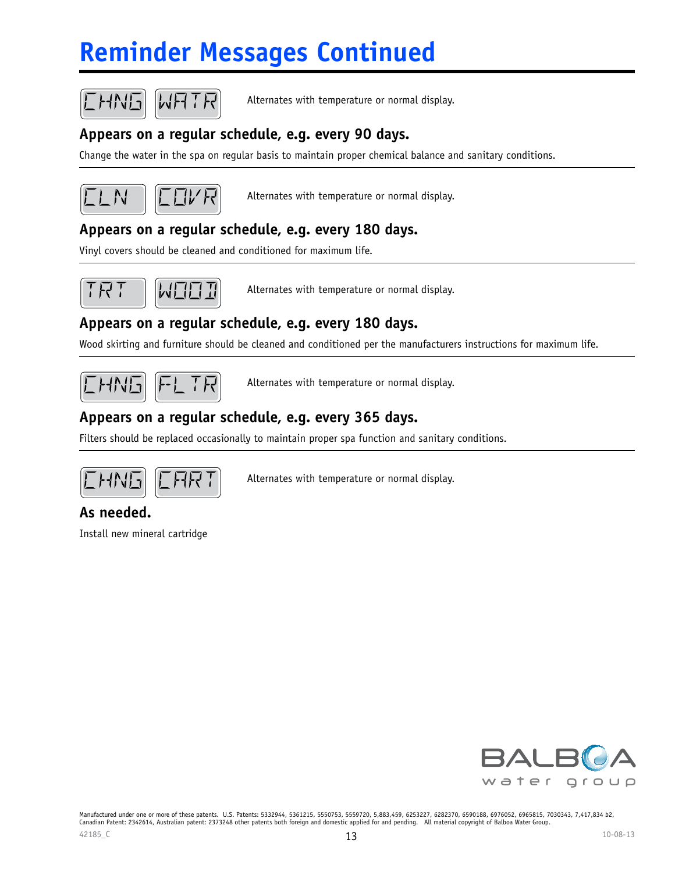# **Reminder Messages Continued**



Alternates with temperature or normal display.

### **Appears on a regular schedule, e.g. every 90 days.**

Change the water in the spa on regular basis to maintain proper chemical balance and sanitary conditions.



Alternates with temperature or normal display.

### **Appears on a regular schedule, e.g. every 180 days.**

Vinyl covers should be cleaned and conditioned for maximum life.



 $k$ 

Alternates with temperature or normal display.

### **Appears on a regular schedule, e.g. every 180 days.**

Wood skirting and furniture should be cleaned and conditioned per the manufacturers instructions for maximum life.



Alternates with temperature or normal display.

### **Appears on a regular schedule, e.g. every 365 days.**

Filters should be replaced occasionally to maintain proper spa function and sanitary conditions.



Alternates with temperature or normal display.

### **As needed.**

Install new mineral cartridge

![](_page_12_Picture_23.jpeg)